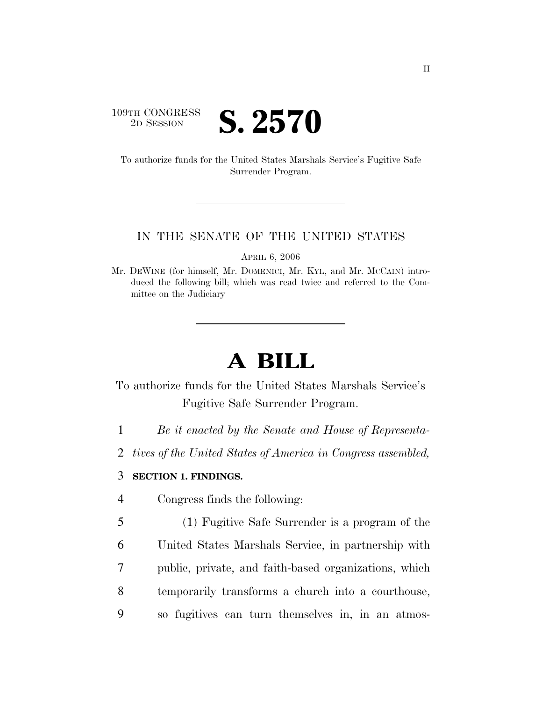## 109TH CONGRESS **2D SESSION S. 2570**

To authorize funds for the United States Marshals Service's Fugitive Safe Surrender Program.

## IN THE SENATE OF THE UNITED STATES

APRIL 6, 2006

Mr. DEWINE (for himself, Mr. DOMENICI, Mr. KYL, and Mr. MCCAIN) introduced the following bill; which was read twice and referred to the Committee on the Judiciary

## **A BILL**

To authorize funds for the United States Marshals Service's Fugitive Safe Surrender Program.

- 1 *Be it enacted by the Senate and House of Representa-*
- 2 *tives of the United States of America in Congress assembled,*

## 3 **SECTION 1. FINDINGS.**

- 4 Congress finds the following:
- 5 (1) Fugitive Safe Surrender is a program of the 6 United States Marshals Service, in partnership with 7 public, private, and faith-based organizations, which 8 temporarily transforms a church into a courthouse, 9 so fugitives can turn themselves in, in an atmos-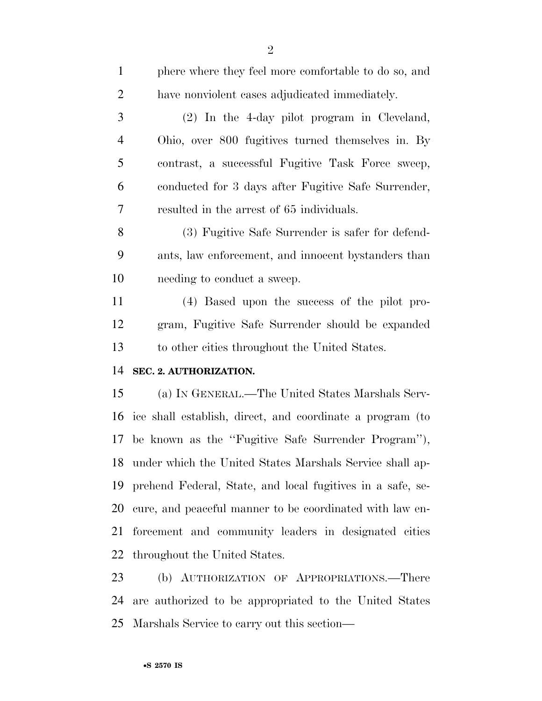| $\mathbf{1}$   | phere where they feel more comfortable to do so, and       |
|----------------|------------------------------------------------------------|
| $\overline{c}$ | have nonviolent cases adjudicated immediately.             |
| 3              | (2) In the 4-day pilot program in Cleveland,               |
| 4              | Ohio, over 800 fugitives turned themselves in. By          |
| 5              | contrast, a successful Fugitive Task Force sweep,          |
| 6              | conducted for 3 days after Fugitive Safe Surrender,        |
| 7              | resulted in the arrest of 65 individuals.                  |
| 8              | (3) Fugitive Safe Surrender is safer for defend-           |
| 9              | ants, law enforcement, and innocent by standers than       |
| 10             | needing to conduct a sweep.                                |
| 11             | (4) Based upon the success of the pilot pro-               |
| 12             | gram, Fugitive Safe Surrender should be expanded           |
| 13             | to other cities throughout the United States.              |
| 14             | SEC. 2. AUTHORIZATION.                                     |
| 15             | (a) IN GENERAL.—The United States Marshals Serv-           |
| 16             | ice shall establish, direct, and coordinate a program (to  |
|                | 17 be known as the "Fugitive Safe Surrender Program"),     |
| 18             | under which the United States Marshals Service shall ap-   |
| 19             | prehend Federal, State, and local fugitives in a safe, se- |
| 20             | cure, and peaceful manner to be coordinated with law en-   |
| 21             | forcement and community leaders in designated cities       |
| 22             | throughout the United States.                              |
| 23             | (b) AUTHORIZATION OF APPROPRIATIONS.—There                 |

 are authorized to be appropriated to the United States Marshals Service to carry out this section—